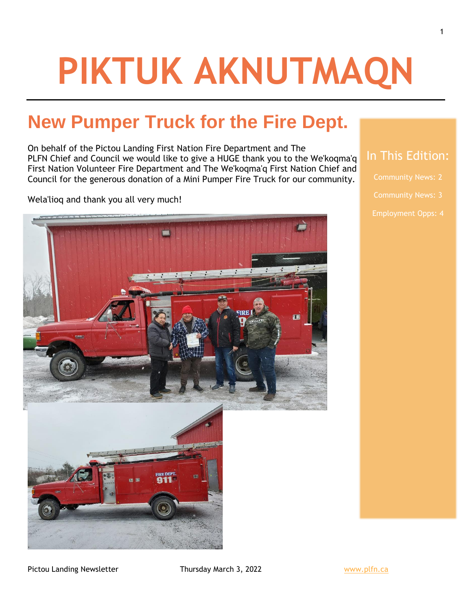# **PIKTUK AKNUTMAQN**

## **New Pumper Truck for the Fire Dept.**

On behalf of the Pictou Landing First Nation Fire Department and The PLFN Chief and Council we would like to give a HUGE thank you to the We'koqma'q First Nation Volunteer Fire Department and The We'koqma'q First Nation Chief and Council for the generous donation of a Mini Pumper Fire Truck for our community.

Wela'lioq and thank you all very much!



- 
- 

Employment Opps: 4

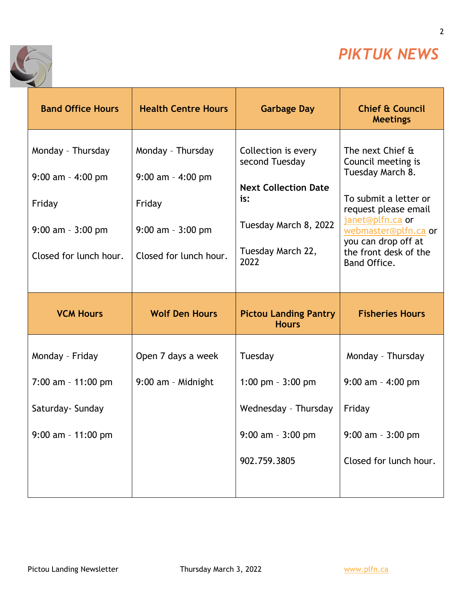

2

٦



| <b>Band Office Hours</b>                                                                                | <b>Health Centre Hours</b>                                                                              | <b>Garbage Day</b>                                                                                                                | <b>Chief &amp; Council</b><br><b>Meetings</b>                                                                                                                                                                           |
|---------------------------------------------------------------------------------------------------------|---------------------------------------------------------------------------------------------------------|-----------------------------------------------------------------------------------------------------------------------------------|-------------------------------------------------------------------------------------------------------------------------------------------------------------------------------------------------------------------------|
| Monday - Thursday<br>$9:00$ am - $4:00$ pm<br>Friday<br>$9:00$ am - $3:00$ pm<br>Closed for lunch hour. | Monday - Thursday<br>$9:00$ am - $4:00$ pm<br>Friday<br>$9:00$ am - $3:00$ pm<br>Closed for lunch hour. | Collection is every<br>second Tuesday<br><b>Next Collection Date</b><br>is:<br>Tuesday March 8, 2022<br>Tuesday March 22,<br>2022 | The next Chief &<br>Council meeting is<br>Tuesday March 8.<br>To submit a letter or<br>request please email<br>janet@plfn.ca or<br>webmaster@plfn.ca or<br>you can drop off at<br>the front desk of the<br>Band Office. |
| <b>VCM Hours</b>                                                                                        | <b>Wolf Den Hours</b>                                                                                   | <b>Pictou Landing Pantry</b>                                                                                                      | <b>Fisheries Hours</b>                                                                                                                                                                                                  |
|                                                                                                         |                                                                                                         | <b>Hours</b>                                                                                                                      |                                                                                                                                                                                                                         |
| Monday - Friday                                                                                         | Open 7 days a week                                                                                      | Tuesday                                                                                                                           | Monday - Thursday                                                                                                                                                                                                       |
| $7:00$ am - 11:00 pm                                                                                    | 9:00 am - Midnight                                                                                      | 1:00 pm $-3:00$ pm                                                                                                                | $9:00$ am - 4:00 pm                                                                                                                                                                                                     |
| Saturday- Sunday                                                                                        |                                                                                                         | Wednesday - Thursday                                                                                                              | Friday                                                                                                                                                                                                                  |
| $9:00$ am - 11:00 pm                                                                                    |                                                                                                         | $9:00$ am - $3:00$ pm                                                                                                             | $9:00$ am $-3:00$ pm                                                                                                                                                                                                    |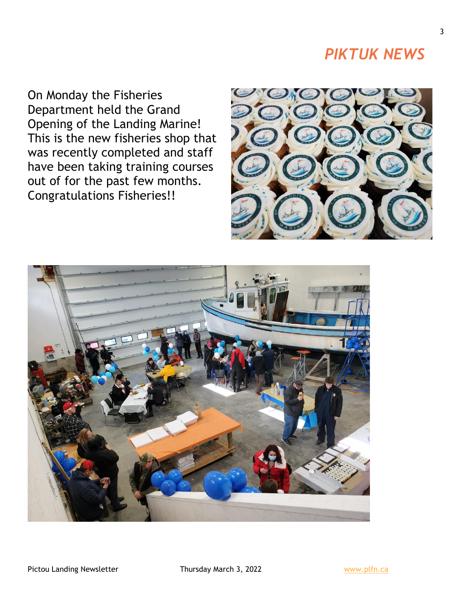### *PIKTUK NEWS*

On Monday the Fisheries Department held the Grand Opening of the Landing Marine! This is the new fisheries shop that was recently completed and staff have been taking training courses out of for the past few months. Congratulations Fisheries!!





Pictou Landing Newsletter Thursday March 3, 2022 Www.plfn.ca